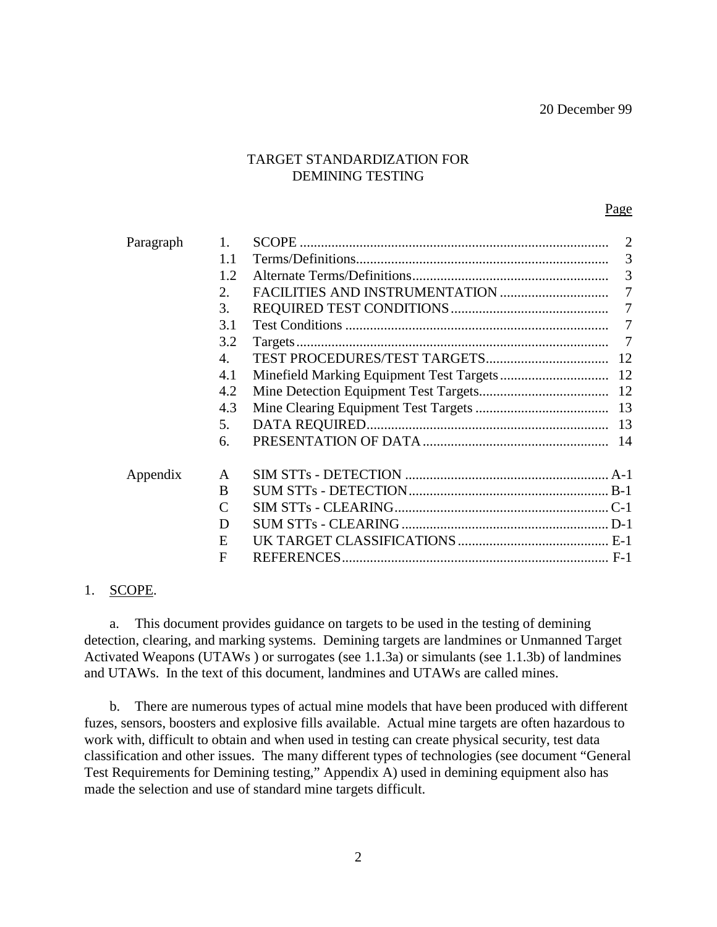#### TARGET STANDARDIZATION FOR DEMINING TESTING

#### Page

| Paragraph | 1.                          | $\overline{2}$ |
|-----------|-----------------------------|----------------|
|           | 1.1                         | 3              |
|           | 1.2                         |                |
|           | 2.                          | $\overline{7}$ |
|           | 3.                          | 7              |
|           | 3.1                         | $\overline{7}$ |
|           | 3.2                         | 7              |
|           | 4.                          |                |
|           | 4.1                         |                |
|           | 4.2                         |                |
|           | 4.3                         |                |
|           | 5.                          |                |
|           | 6.                          |                |
| Appendix  | A                           |                |
|           | <sub>B</sub>                |                |
|           | $\mathcal{C}_{\mathcal{C}}$ |                |
|           | D                           |                |
|           | E                           |                |
|           | F                           |                |

#### 1. SCOPE.

a. This document provides guidance on targets to be used in the testing of demining detection, clearing, and marking systems. Demining targets are landmines or Unmanned Target Activated Weapons (UTAWs ) or surrogates (see 1.1.3a) or simulants (see 1.1.3b) of landmines and UTAWs. In the text of this document, landmines and UTAWs are called mines.

b. There are numerous types of actual mine models that have been produced with different fuzes, sensors, boosters and explosive fills available. Actual mine targets are often hazardous to work with, difficult to obtain and when used in testing can create physical security, test data classification and other issues. The many different types of technologies (see document "General Test Requirements for Demining testing," Appendix A) used in demining equipment also has made the selection and use of standard mine targets difficult.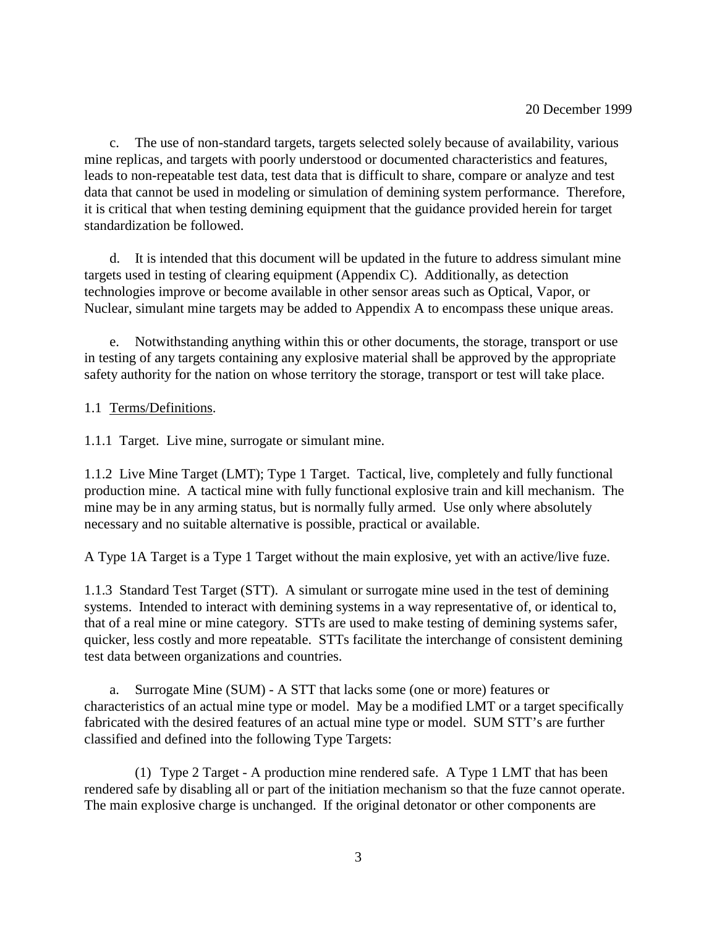c. The use of non-standard targets, targets selected solely because of availability, various mine replicas, and targets with poorly understood or documented characteristics and features, leads to non-repeatable test data, test data that is difficult to share, compare or analyze and test data that cannot be used in modeling or simulation of demining system performance. Therefore, it is critical that when testing demining equipment that the guidance provided herein for target standardization be followed.

d. It is intended that this document will be updated in the future to address simulant mine targets used in testing of clearing equipment (Appendix C). Additionally, as detection technologies improve or become available in other sensor areas such as Optical, Vapor, or Nuclear, simulant mine targets may be added to Appendix A to encompass these unique areas.

e. Notwithstanding anything within this or other documents, the storage, transport or use in testing of any targets containing any explosive material shall be approved by the appropriate safety authority for the nation on whose territory the storage, transport or test will take place.

#### 1.1 Terms/Definitions.

1.1.1 Target. Live mine, surrogate or simulant mine.

1.1.2 Live Mine Target (LMT); Type 1 Target. Tactical, live, completely and fully functional production mine. A tactical mine with fully functional explosive train and kill mechanism. The mine may be in any arming status, but is normally fully armed. Use only where absolutely necessary and no suitable alternative is possible, practical or available.

A Type 1A Target is a Type 1 Target without the main explosive, yet with an active/live fuze.

1.1.3 Standard Test Target (STT). A simulant or surrogate mine used in the test of demining systems. Intended to interact with demining systems in a way representative of, or identical to, that of a real mine or mine category. STTs are used to make testing of demining systems safer, quicker, less costly and more repeatable. STTs facilitate the interchange of consistent demining test data between organizations and countries.

a. Surrogate Mine (SUM) - A STT that lacks some (one or more) features or characteristics of an actual mine type or model. May be a modified LMT or a target specifically fabricated with the desired features of an actual mine type or model. SUM STT's are further classified and defined into the following Type Targets:

(1) Type 2 Target - A production mine rendered safe. A Type 1 LMT that has been rendered safe by disabling all or part of the initiation mechanism so that the fuze cannot operate. The main explosive charge is unchanged. If the original detonator or other components are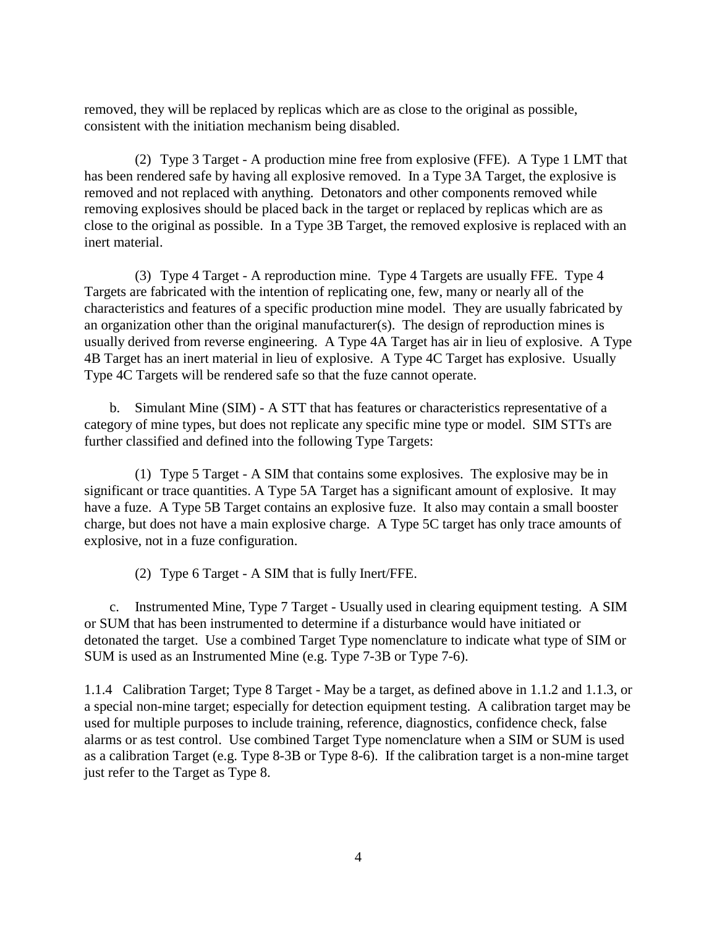removed, they will be replaced by replicas which are as close to the original as possible, consistent with the initiation mechanism being disabled.

(2) Type 3 Target - A production mine free from explosive (FFE). A Type 1 LMT that has been rendered safe by having all explosive removed. In a Type 3A Target, the explosive is removed and not replaced with anything. Detonators and other components removed while removing explosives should be placed back in the target or replaced by replicas which are as close to the original as possible. In a Type 3B Target, the removed explosive is replaced with an inert material.

(3) Type 4 Target - A reproduction mine. Type 4 Targets are usually FFE. Type 4 Targets are fabricated with the intention of replicating one, few, many or nearly all of the characteristics and features of a specific production mine model. They are usually fabricated by an organization other than the original manufacturer(s). The design of reproduction mines is usually derived from reverse engineering. A Type 4A Target has air in lieu of explosive. A Type 4B Target has an inert material in lieu of explosive. A Type 4C Target has explosive. Usually Type 4C Targets will be rendered safe so that the fuze cannot operate.

b. Simulant Mine (SIM) - A STT that has features or characteristics representative of a category of mine types, but does not replicate any specific mine type or model. SIM STTs are further classified and defined into the following Type Targets:

(1) Type 5 Target - A SIM that contains some explosives. The explosive may be in significant or trace quantities. A Type 5A Target has a significant amount of explosive. It may have a fuze. A Type 5B Target contains an explosive fuze. It also may contain a small booster charge, but does not have a main explosive charge. A Type 5C target has only trace amounts of explosive, not in a fuze configuration.

(2) Type 6 Target - A SIM that is fully Inert/FFE.

c. Instrumented Mine, Type 7 Target - Usually used in clearing equipment testing. A SIM or SUM that has been instrumented to determine if a disturbance would have initiated or detonated the target. Use a combined Target Type nomenclature to indicate what type of SIM or SUM is used as an Instrumented Mine (e.g. Type 7-3B or Type 7-6).

1.1.4 Calibration Target; Type 8 Target - May be a target, as defined above in 1.1.2 and 1.1.3, or a special non-mine target; especially for detection equipment testing. A calibration target may be used for multiple purposes to include training, reference, diagnostics, confidence check, false alarms or as test control. Use combined Target Type nomenclature when a SIM or SUM is used as a calibration Target (e.g. Type 8-3B or Type 8-6). If the calibration target is a non-mine target just refer to the Target as Type 8.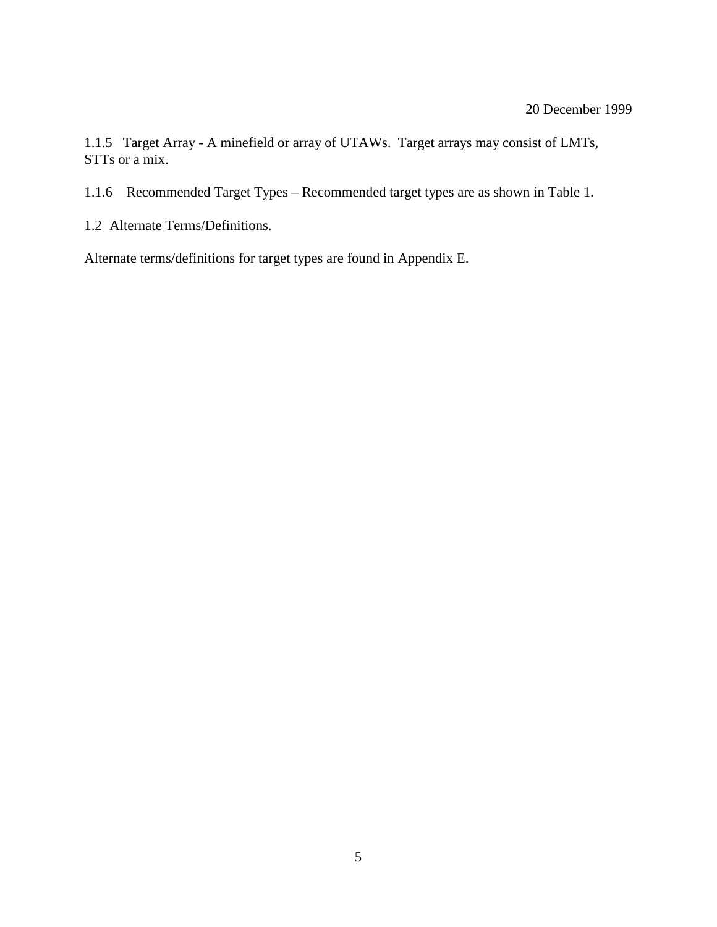1.1.5 Target Array - A minefield or array of UTAWs. Target arrays may consist of LMTs, STTs or a mix.

1.1.6 Recommended Target Types – Recommended target types are as shown in Table 1.

1.2 Alternate Terms/Definitions.

Alternate terms/definitions for target types are found in Appendix E.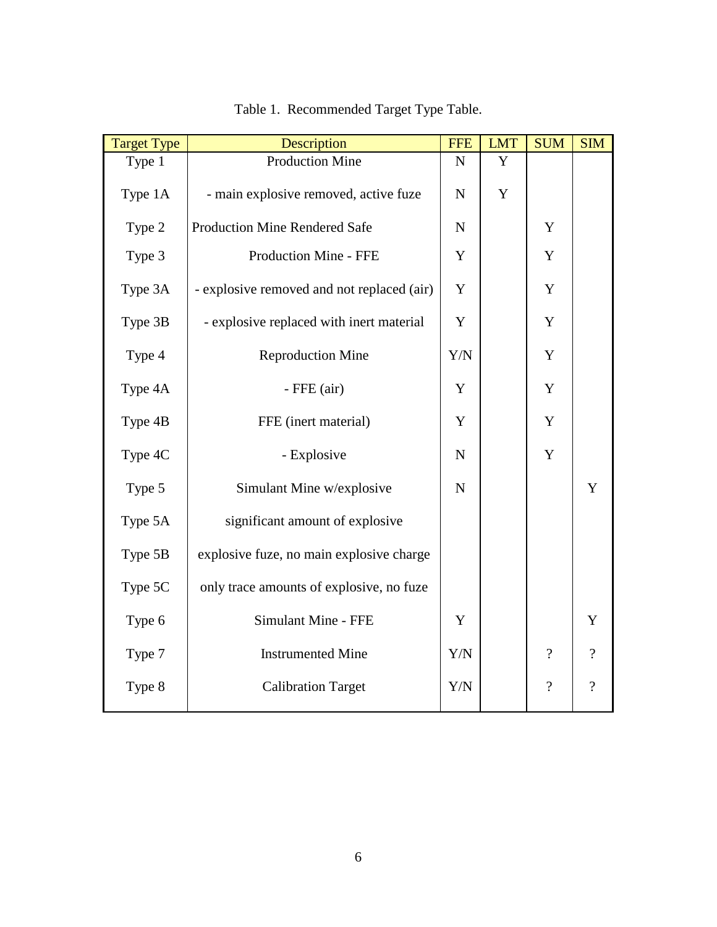| <b>Target Type</b> | Description                                |             | <b>LMT</b>  | <b>SUM</b>               | <b>SIM</b>     |
|--------------------|--------------------------------------------|-------------|-------------|--------------------------|----------------|
| Type 1             | <b>Production Mine</b>                     | ${\bf N}$   | Y           |                          |                |
| Type 1A            | - main explosive removed, active fuze      | ${\bf N}$   | $\mathbf Y$ |                          |                |
| Type 2             | <b>Production Mine Rendered Safe</b>       | ${\bf N}$   |             | Y                        |                |
| Type 3             | Production Mine - FFE                      | $\mathbf Y$ |             | $\mathbf Y$              |                |
| Type 3A            | - explosive removed and not replaced (air) | Y           |             | Y                        |                |
| Type 3B            | - explosive replaced with inert material   | Y           |             | Y                        |                |
| Type 4             | <b>Reproduction Mine</b>                   | Y/N         |             | $\mathbf Y$              |                |
| Type 4A            | $-$ FFE $(air)$                            | Y           |             | Y                        |                |
| Type 4B            | FFE (inert material)                       | Y           |             | $\mathbf Y$              |                |
| Type 4C            | - Explosive                                | $\mathbf N$ |             | Y                        |                |
| Type 5             | Simulant Mine w/explosive                  | $\mathbf N$ |             |                          | Y              |
| Type 5A            | significant amount of explosive            |             |             |                          |                |
| Type 5B            | explosive fuze, no main explosive charge   |             |             |                          |                |
| Type 5C            | only trace amounts of explosive, no fuze   |             |             |                          |                |
| Type 6             | Simulant Mine - FFE                        | Y           |             |                          | Y              |
| Type 7             | <b>Instrumented Mine</b>                   | Y/N         |             | $\overline{\mathcal{L}}$ | $\gamma$       |
| Type 8             | <b>Calibration Target</b>                  | Y/N         |             | $\overline{\mathcal{L}}$ | $\overline{?}$ |
|                    |                                            |             |             |                          |                |

# Table 1. Recommended Target Type Table.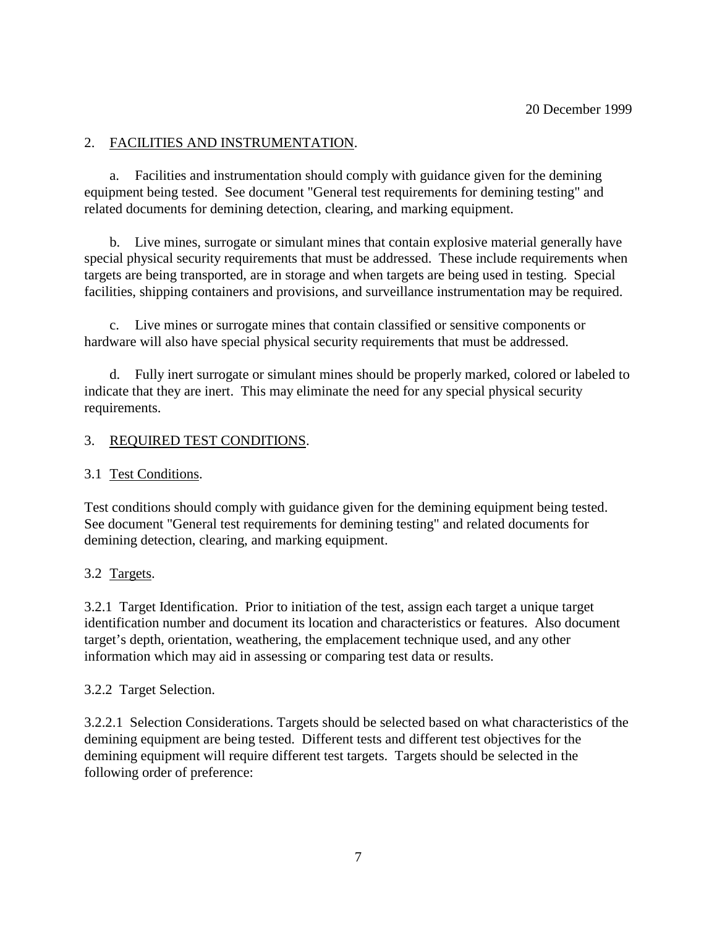## 2. FACILITIES AND INSTRUMENTATION.

a. Facilities and instrumentation should comply with guidance given for the demining equipment being tested. See document "General test requirements for demining testing" and related documents for demining detection, clearing, and marking equipment.

b. Live mines, surrogate or simulant mines that contain explosive material generally have special physical security requirements that must be addressed. These include requirements when targets are being transported, are in storage and when targets are being used in testing. Special facilities, shipping containers and provisions, and surveillance instrumentation may be required.

c. Live mines or surrogate mines that contain classified or sensitive components or hardware will also have special physical security requirements that must be addressed.

d. Fully inert surrogate or simulant mines should be properly marked, colored or labeled to indicate that they are inert. This may eliminate the need for any special physical security requirements.

## 3. REQUIRED TEST CONDITIONS.

## 3.1 Test Conditions.

Test conditions should comply with guidance given for the demining equipment being tested. See document "General test requirements for demining testing" and related documents for demining detection, clearing, and marking equipment.

## 3.2 Targets.

3.2.1 Target Identification. Prior to initiation of the test, assign each target a unique target identification number and document its location and characteristics or features. Also document target's depth, orientation, weathering, the emplacement technique used, and any other information which may aid in assessing or comparing test data or results.

## 3.2.2 Target Selection.

3.2.2.1 Selection Considerations. Targets should be selected based on what characteristics of the demining equipment are being tested. Different tests and different test objectives for the demining equipment will require different test targets. Targets should be selected in the following order of preference: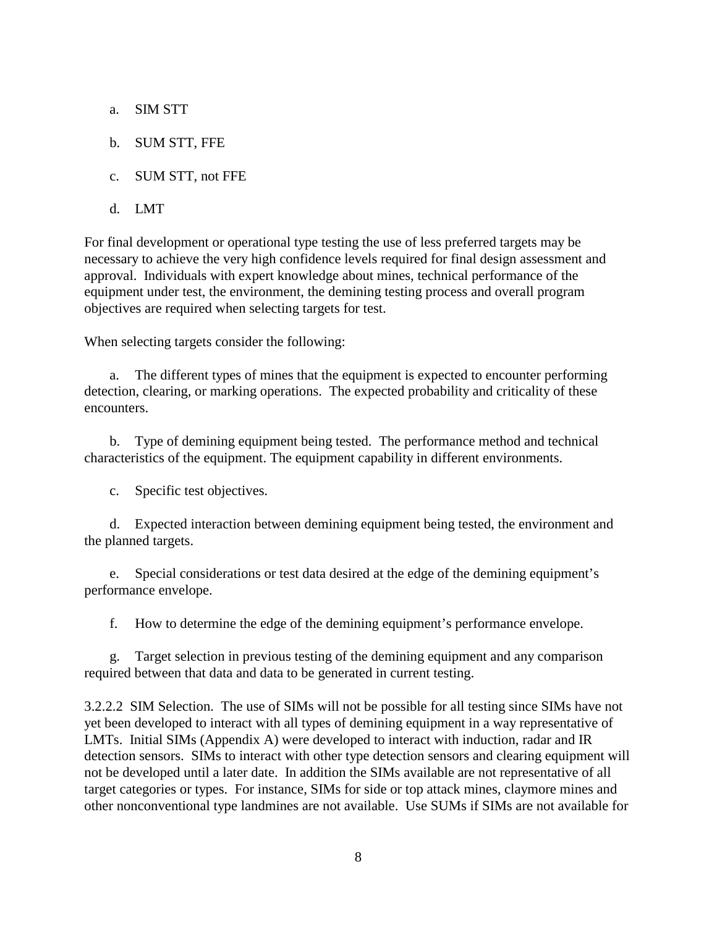- a. SIM STT
- b. SUM STT, FFE
- c. SUM STT, not FFE
- d. LMT

For final development or operational type testing the use of less preferred targets may be necessary to achieve the very high confidence levels required for final design assessment and approval. Individuals with expert knowledge about mines, technical performance of the equipment under test, the environment, the demining testing process and overall program objectives are required when selecting targets for test.

When selecting targets consider the following:

a. The different types of mines that the equipment is expected to encounter performing detection, clearing, or marking operations. The expected probability and criticality of these encounters.

b. Type of demining equipment being tested. The performance method and technical characteristics of the equipment. The equipment capability in different environments.

c. Specific test objectives.

d. Expected interaction between demining equipment being tested, the environment and the planned targets.

e. Special considerations or test data desired at the edge of the demining equipment's performance envelope.

f. How to determine the edge of the demining equipment's performance envelope.

g. Target selection in previous testing of the demining equipment and any comparison required between that data and data to be generated in current testing.

3.2.2.2 SIM Selection. The use of SIMs will not be possible for all testing since SIMs have not yet been developed to interact with all types of demining equipment in a way representative of LMTs. Initial SIMs (Appendix A) were developed to interact with induction, radar and IR detection sensors. SIMs to interact with other type detection sensors and clearing equipment will not be developed until a later date. In addition the SIMs available are not representative of all target categories or types. For instance, SIMs for side or top attack mines, claymore mines and other nonconventional type landmines are not available. Use SUMs if SIMs are not available for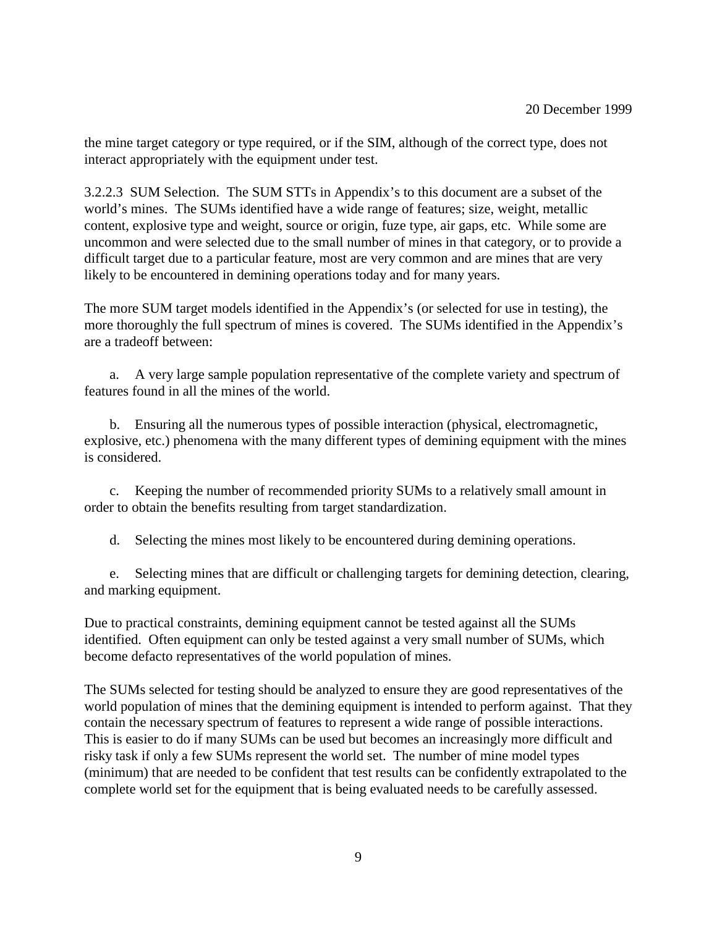the mine target category or type required, or if the SIM, although of the correct type, does not interact appropriately with the equipment under test.

3.2.2.3 SUM Selection. The SUM STTs in Appendix's to this document are a subset of the world's mines. The SUMs identified have a wide range of features; size, weight, metallic content, explosive type and weight, source or origin, fuze type, air gaps, etc. While some are uncommon and were selected due to the small number of mines in that category, or to provide a difficult target due to a particular feature, most are very common and are mines that are very likely to be encountered in demining operations today and for many years.

The more SUM target models identified in the Appendix's (or selected for use in testing), the more thoroughly the full spectrum of mines is covered. The SUMs identified in the Appendix's are a tradeoff between:

a. A very large sample population representative of the complete variety and spectrum of features found in all the mines of the world.

b. Ensuring all the numerous types of possible interaction (physical, electromagnetic, explosive, etc.) phenomena with the many different types of demining equipment with the mines is considered.

c. Keeping the number of recommended priority SUMs to a relatively small amount in order to obtain the benefits resulting from target standardization.

d. Selecting the mines most likely to be encountered during demining operations.

e. Selecting mines that are difficult or challenging targets for demining detection, clearing, and marking equipment.

Due to practical constraints, demining equipment cannot be tested against all the SUMs identified. Often equipment can only be tested against a very small number of SUMs, which become defacto representatives of the world population of mines.

The SUMs selected for testing should be analyzed to ensure they are good representatives of the world population of mines that the demining equipment is intended to perform against. That they contain the necessary spectrum of features to represent a wide range of possible interactions. This is easier to do if many SUMs can be used but becomes an increasingly more difficult and risky task if only a few SUMs represent the world set. The number of mine model types (minimum) that are needed to be confident that test results can be confidently extrapolated to the complete world set for the equipment that is being evaluated needs to be carefully assessed.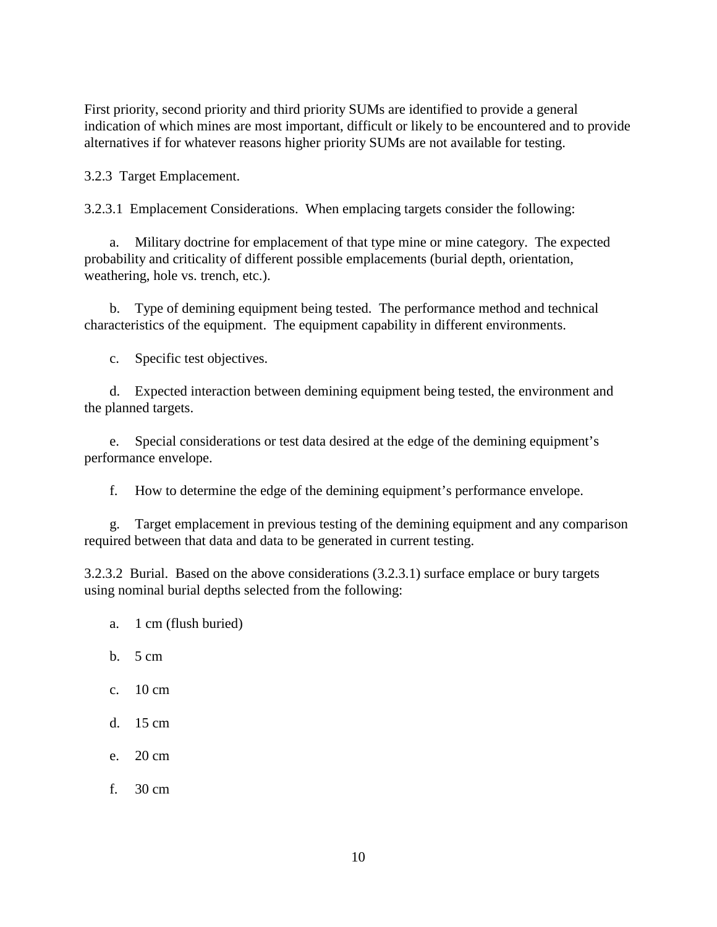First priority, second priority and third priority SUMs are identified to provide a general indication of which mines are most important, difficult or likely to be encountered and to provide alternatives if for whatever reasons higher priority SUMs are not available for testing.

3.2.3 Target Emplacement.

3.2.3.1 Emplacement Considerations. When emplacing targets consider the following:

a. Military doctrine for emplacement of that type mine or mine category. The expected probability and criticality of different possible emplacements (burial depth, orientation, weathering, hole vs. trench, etc.).

b. Type of demining equipment being tested. The performance method and technical characteristics of the equipment. The equipment capability in different environments.

c. Specific test objectives.

d. Expected interaction between demining equipment being tested, the environment and the planned targets.

e. Special considerations or test data desired at the edge of the demining equipment's performance envelope.

f. How to determine the edge of the demining equipment's performance envelope.

g. Target emplacement in previous testing of the demining equipment and any comparison required between that data and data to be generated in current testing.

3.2.3.2 Burial. Based on the above considerations (3.2.3.1) surface emplace or bury targets using nominal burial depths selected from the following:

- a. 1 cm (flush buried)
- b. 5 cm
- c. 10 cm
- d. 15 cm
- e. 20 cm
- f. 30 cm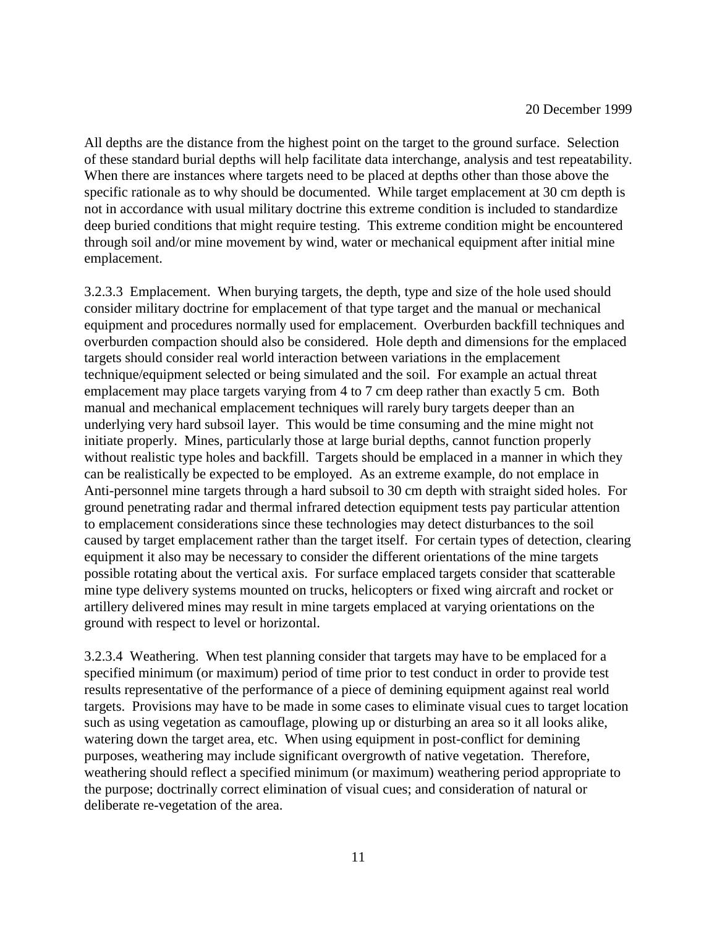All depths are the distance from the highest point on the target to the ground surface. Selection of these standard burial depths will help facilitate data interchange, analysis and test repeatability. When there are instances where targets need to be placed at depths other than those above the specific rationale as to why should be documented. While target emplacement at 30 cm depth is not in accordance with usual military doctrine this extreme condition is included to standardize deep buried conditions that might require testing. This extreme condition might be encountered through soil and/or mine movement by wind, water or mechanical equipment after initial mine emplacement.

3.2.3.3 Emplacement. When burying targets, the depth, type and size of the hole used should consider military doctrine for emplacement of that type target and the manual or mechanical equipment and procedures normally used for emplacement. Overburden backfill techniques and overburden compaction should also be considered. Hole depth and dimensions for the emplaced targets should consider real world interaction between variations in the emplacement technique/equipment selected or being simulated and the soil. For example an actual threat emplacement may place targets varying from 4 to 7 cm deep rather than exactly 5 cm. Both manual and mechanical emplacement techniques will rarely bury targets deeper than an underlying very hard subsoil layer. This would be time consuming and the mine might not initiate properly. Mines, particularly those at large burial depths, cannot function properly without realistic type holes and backfill. Targets should be emplaced in a manner in which they can be realistically be expected to be employed. As an extreme example, do not emplace in Anti-personnel mine targets through a hard subsoil to 30 cm depth with straight sided holes. For ground penetrating radar and thermal infrared detection equipment tests pay particular attention to emplacement considerations since these technologies may detect disturbances to the soil caused by target emplacement rather than the target itself. For certain types of detection, clearing equipment it also may be necessary to consider the different orientations of the mine targets possible rotating about the vertical axis. For surface emplaced targets consider that scatterable mine type delivery systems mounted on trucks, helicopters or fixed wing aircraft and rocket or artillery delivered mines may result in mine targets emplaced at varying orientations on the ground with respect to level or horizontal.

3.2.3.4 Weathering. When test planning consider that targets may have to be emplaced for a specified minimum (or maximum) period of time prior to test conduct in order to provide test results representative of the performance of a piece of demining equipment against real world targets. Provisions may have to be made in some cases to eliminate visual cues to target location such as using vegetation as camouflage, plowing up or disturbing an area so it all looks alike, watering down the target area, etc. When using equipment in post-conflict for demining purposes, weathering may include significant overgrowth of native vegetation. Therefore, weathering should reflect a specified minimum (or maximum) weathering period appropriate to the purpose; doctrinally correct elimination of visual cues; and consideration of natural or deliberate re-vegetation of the area.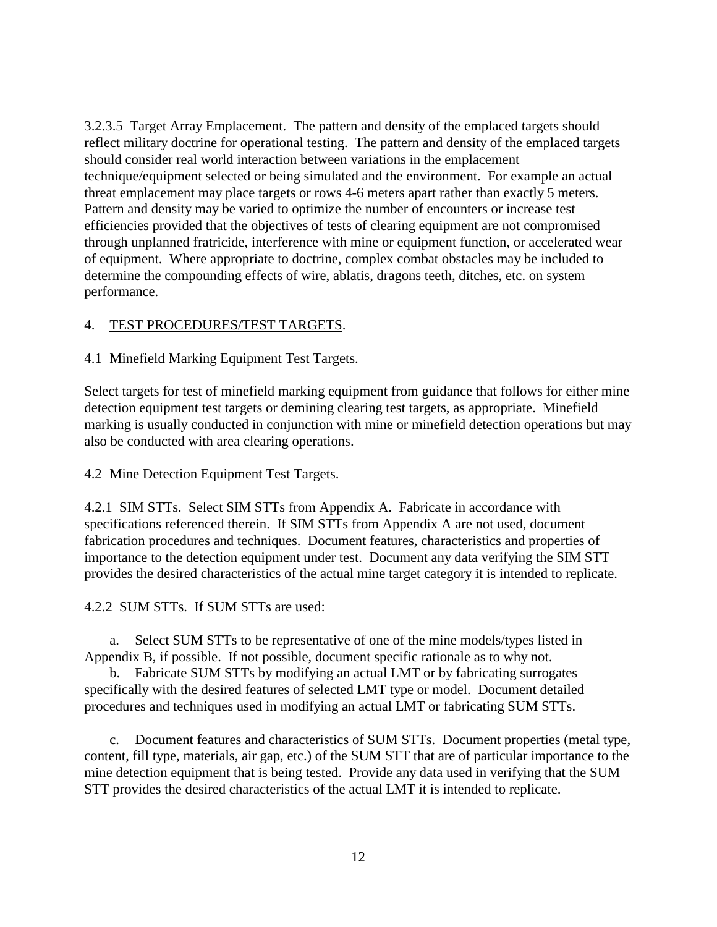3.2.3.5 Target Array Emplacement. The pattern and density of the emplaced targets should reflect military doctrine for operational testing. The pattern and density of the emplaced targets should consider real world interaction between variations in the emplacement technique/equipment selected or being simulated and the environment. For example an actual threat emplacement may place targets or rows 4-6 meters apart rather than exactly 5 meters. Pattern and density may be varied to optimize the number of encounters or increase test efficiencies provided that the objectives of tests of clearing equipment are not compromised through unplanned fratricide, interference with mine or equipment function, or accelerated wear of equipment. Where appropriate to doctrine, complex combat obstacles may be included to determine the compounding effects of wire, ablatis, dragons teeth, ditches, etc. on system performance.

#### 4. TEST PROCEDURES/TEST TARGETS.

#### 4.1 Minefield Marking Equipment Test Targets.

Select targets for test of minefield marking equipment from guidance that follows for either mine detection equipment test targets or demining clearing test targets, as appropriate. Minefield marking is usually conducted in conjunction with mine or minefield detection operations but may also be conducted with area clearing operations.

#### 4.2 Mine Detection Equipment Test Targets.

4.2.1 SIM STTs. Select SIM STTs from Appendix A. Fabricate in accordance with specifications referenced therein. If SIM STTs from Appendix A are not used, document fabrication procedures and techniques. Document features, characteristics and properties of importance to the detection equipment under test. Document any data verifying the SIM STT provides the desired characteristics of the actual mine target category it is intended to replicate.

#### 4.2.2 SUM STTs. If SUM STTs are used:

a. Select SUM STTs to be representative of one of the mine models/types listed in Appendix B, if possible. If not possible, document specific rationale as to why not.

b. Fabricate SUM STTs by modifying an actual LMT or by fabricating surrogates specifically with the desired features of selected LMT type or model. Document detailed procedures and techniques used in modifying an actual LMT or fabricating SUM STTs.

c. Document features and characteristics of SUM STTs. Document properties (metal type, content, fill type, materials, air gap, etc.) of the SUM STT that are of particular importance to the mine detection equipment that is being tested. Provide any data used in verifying that the SUM STT provides the desired characteristics of the actual LMT it is intended to replicate.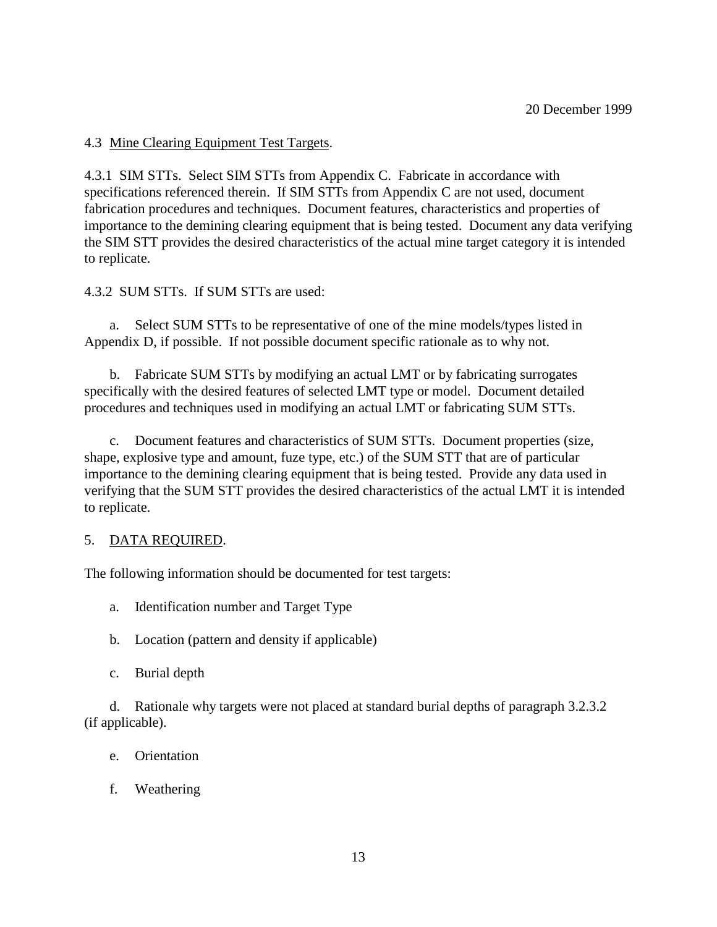4.3 Mine Clearing Equipment Test Targets.

4.3.1 SIM STTs. Select SIM STTs from Appendix C. Fabricate in accordance with specifications referenced therein. If SIM STTs from Appendix C are not used, document fabrication procedures and techniques. Document features, characteristics and properties of importance to the demining clearing equipment that is being tested. Document any data verifying the SIM STT provides the desired characteristics of the actual mine target category it is intended to replicate.

4.3.2 SUM STTs. If SUM STTs are used:

a. Select SUM STTs to be representative of one of the mine models/types listed in Appendix D, if possible. If not possible document specific rationale as to why not.

b. Fabricate SUM STTs by modifying an actual LMT or by fabricating surrogates specifically with the desired features of selected LMT type or model. Document detailed procedures and techniques used in modifying an actual LMT or fabricating SUM STTs.

Document features and characteristics of SUM STTs. Document properties (size, shape, explosive type and amount, fuze type, etc.) of the SUM STT that are of particular importance to the demining clearing equipment that is being tested. Provide any data used in verifying that the SUM STT provides the desired characteristics of the actual LMT it is intended to replicate.

#### 5. DATA REQUIRED.

The following information should be documented for test targets:

- a. Identification number and Target Type
- b. Location (pattern and density if applicable)
- c. Burial depth

d. Rationale why targets were not placed at standard burial depths of paragraph 3.2.3.2 (if applicable).

- e. Orientation
- f. Weathering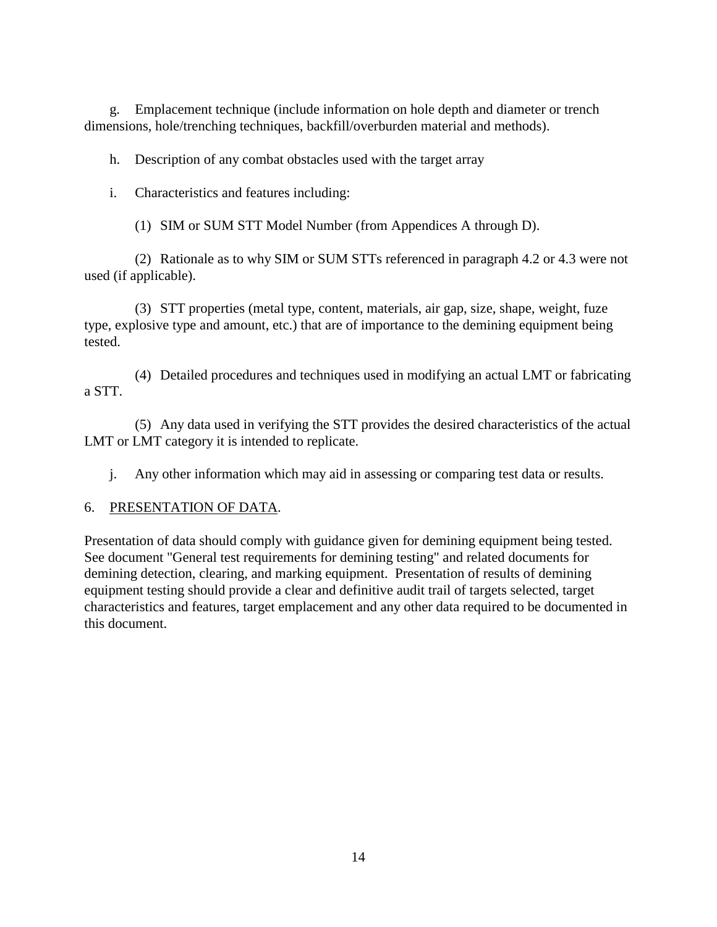g. Emplacement technique (include information on hole depth and diameter or trench dimensions, hole/trenching techniques, backfill/overburden material and methods).

h. Description of any combat obstacles used with the target array

i. Characteristics and features including:

(1) SIM or SUM STT Model Number (from Appendices A through D).

(2) Rationale as to why SIM or SUM STTs referenced in paragraph 4.2 or 4.3 were not used (if applicable).

(3) STT properties (metal type, content, materials, air gap, size, shape, weight, fuze type, explosive type and amount, etc.) that are of importance to the demining equipment being tested.

(4) Detailed procedures and techniques used in modifying an actual LMT or fabricating a STT.

(5) Any data used in verifying the STT provides the desired characteristics of the actual LMT or LMT category it is intended to replicate.

j. Any other information which may aid in assessing or comparing test data or results.

## 6. PRESENTATION OF DATA.

Presentation of data should comply with guidance given for demining equipment being tested. See document "General test requirements for demining testing" and related documents for demining detection, clearing, and marking equipment. Presentation of results of demining equipment testing should provide a clear and definitive audit trail of targets selected, target characteristics and features, target emplacement and any other data required to be documented in this document.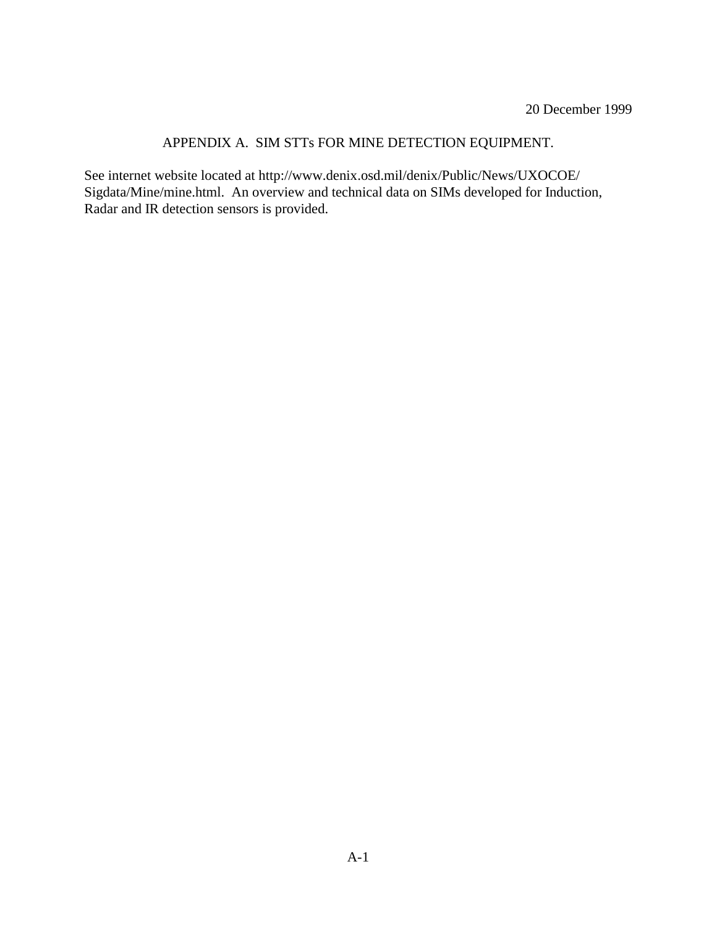## APPENDIX A. SIM STTs FOR MINE DETECTION EQUIPMENT.

See internet website located at http://www.denix.osd.mil/denix/Public/News/UXOCOE/ Sigdata/Mine/mine.html. An overview and technical data on SIMs developed for Induction, Radar and IR detection sensors is provided.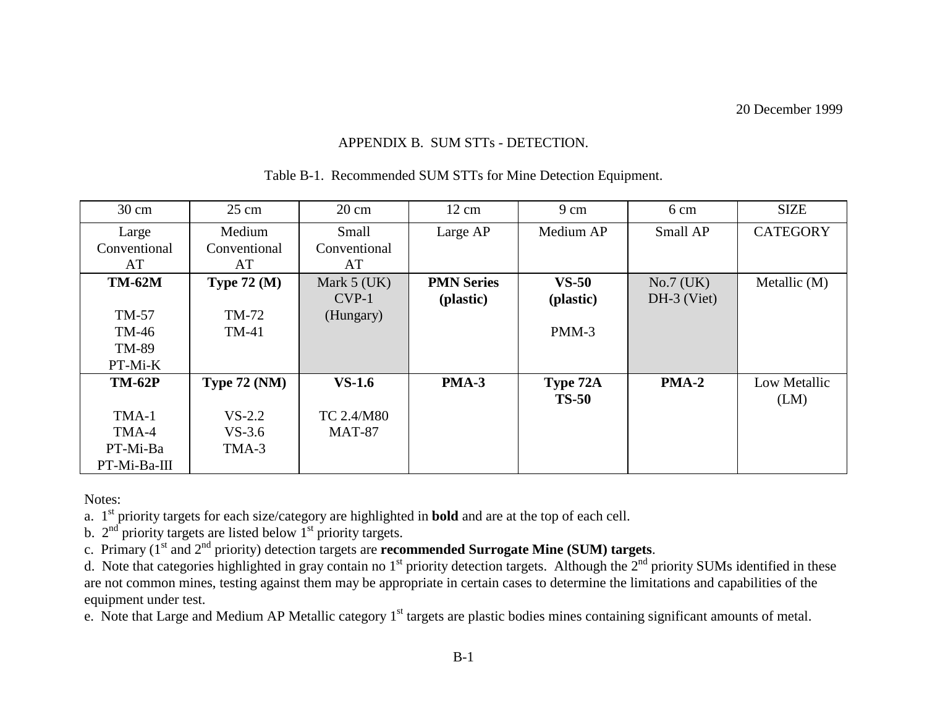### APPENDIX B. SUM STTs - DETECTION.

| $30 \text{ cm}$ | $25 \text{ cm}$     | $20 \text{ cm}$ | $12 \text{ cm}$   | $9 \text{ cm}$ | 6 cm          | <b>SIZE</b>     |
|-----------------|---------------------|-----------------|-------------------|----------------|---------------|-----------------|
|                 | Medium              | Small           | Large AP          | Medium AP      | Small AP      | <b>CATEGORY</b> |
| Large           |                     |                 |                   |                |               |                 |
| Conventional    | Conventional        | Conventional    |                   |                |               |                 |
| AT              | AT                  | AT              |                   |                |               |                 |
| <b>TM-62M</b>   | Type $72 \, (M)$    | Mark $5$ (UK)   | <b>PMN Series</b> | $VS-50$        | $No.7$ (UK)   | Metallic (M)    |
|                 |                     | $CVP-1$         | (plastic)         | (plastic)      | $DH-3$ (Viet) |                 |
| TM-57           | TM-72               | (Hungary)       |                   |                |               |                 |
| TM-46           | <b>TM-41</b>        |                 |                   | $PMM-3$        |               |                 |
| TM-89           |                     |                 |                   |                |               |                 |
| PT-Mi-K         |                     |                 |                   |                |               |                 |
| <b>TM-62P</b>   | <b>Type 72 (NM)</b> | $VS-1.6$        | PMA-3             | Type 72A       | PMA-2         | Low Metallic    |
|                 |                     |                 |                   | <b>TS-50</b>   |               | (LM)            |
| TMA-1           | $VS-2.2$            | TC 2.4/M80      |                   |                |               |                 |
| TMA-4           | $VS-3.6$            | <b>MAT-87</b>   |                   |                |               |                 |
| PT-Mi-Ba        | TMA-3               |                 |                   |                |               |                 |
| PT-Mi-Ba-III    |                     |                 |                   |                |               |                 |

Table B-1. Recommended SUM STTs for Mine Detection Equipment.

Notes:

a. 1st priority targets for each size/category are highlighted in **bold** and are at the top of each cell.

b.  $2<sup>nd</sup>$  priority targets are listed below  $1<sup>st</sup>$  priority targets.

c. Primary (1st and 2nd priority) detection targets are **recommended Surrogate Mine (SUM) targets**.

d. Note that categories highlighted in gray contain no  $1<sup>st</sup>$  priority detection targets. Although the  $2<sup>nd</sup>$  priority SUMs identified in these are not common mines, testing against them may be appropriate in certain cases to determine the limitations and capabilities of the equipment under test.

e. Note that Large and Medium AP Metallic category  $1<sup>st</sup>$  targets are plastic bodies mines containing significant amounts of metal.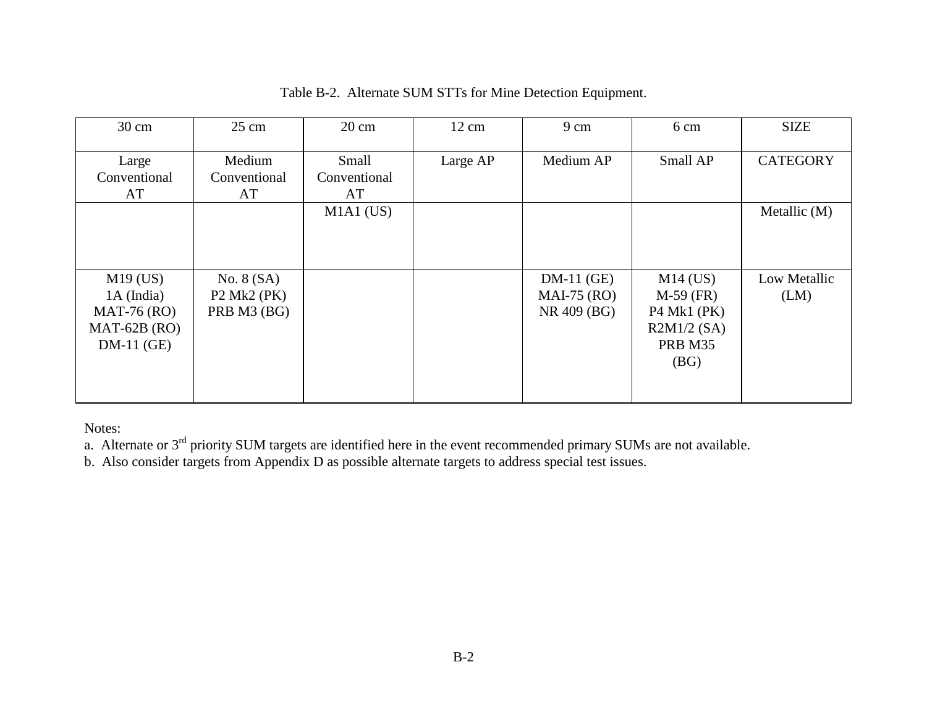| $30 \text{ cm}$                                                             | $25 \text{ cm}$                                 | $20 \text{ cm}$             | $12 \text{ cm}$ | 9 cm                                         | 6 cm                                                                               | <b>SIZE</b>          |
|-----------------------------------------------------------------------------|-------------------------------------------------|-----------------------------|-----------------|----------------------------------------------|------------------------------------------------------------------------------------|----------------------|
| Large<br>Conventional<br>AT                                                 | Medium<br>Conventional<br>AT                    | Small<br>Conventional<br>AT | Large AP        | Medium AP                                    | Small AP                                                                           | <b>CATEGORY</b>      |
|                                                                             |                                                 | $M1A1$ (US)                 |                 |                                              |                                                                                    | Metallic (M)         |
| $M19$ (US)<br>1A (India)<br>$MAT-76 (RO)$<br>$MAT-62B (RO)$<br>$DM-11$ (GE) | No. $8(SA)$<br>$P2$ Mk2 ( $PK$ )<br>PRB M3 (BG) |                             |                 | $DM-11$ (GE)<br>$MAI-75 (RO)$<br>NR 409 (BG) | $M14$ (US)<br>$M-59$ (FR)<br>$P4$ Mk1 ( $PK$ )<br>$R2M1/2$ (SA)<br>PRB M35<br>(BG) | Low Metallic<br>(LM) |

## Table B-2. Alternate SUM STTs for Mine Detection Equipment.

Notes:

a. Alternate or  $3<sup>rd</sup>$  priority SUM targets are identified here in the event recommended primary SUMs are not available.

b. Also consider targets from Appendix D as possible alternate targets to address special test issues.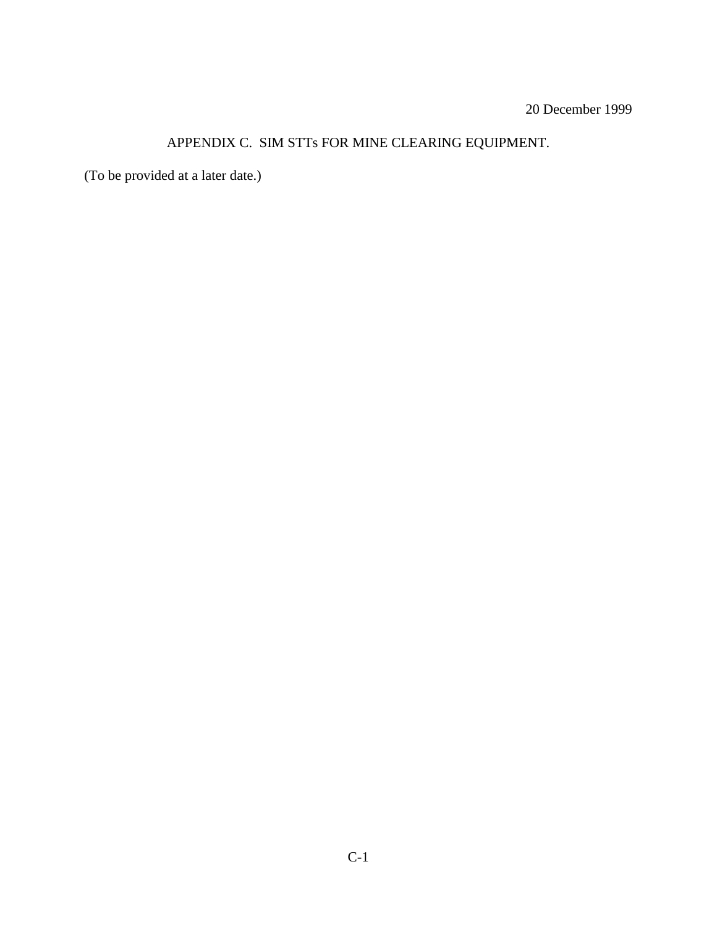## APPENDIX C. SIM STTs FOR MINE CLEARING EQUIPMENT.

(To be provided at a later date.)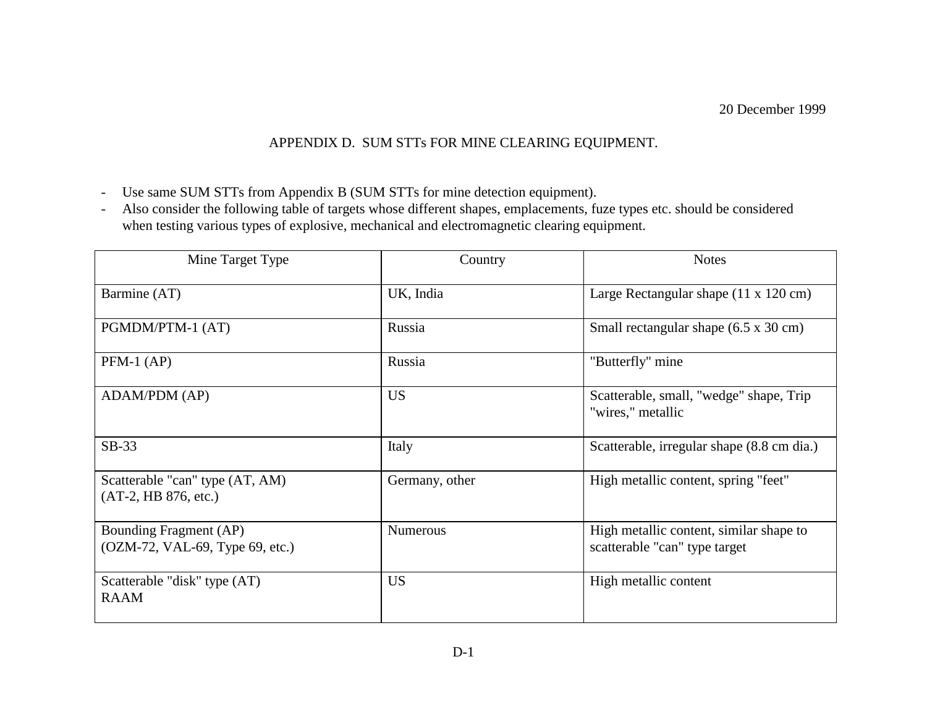## APPENDIX D. SUM STTs FOR MINE CLEARING EQUIPMENT.

- Use same SUM STTs from Appendix B (SUM STTs for mine detection equipment).
- - Also consider the following table of targets whose different shapes, emplacements, fuze types etc. should be considered when testing various types of explosive, mechanical and electromagnetic clearing equipment.

| Mine Target Type                                          | Country         | <b>Notes</b>                                                             |
|-----------------------------------------------------------|-----------------|--------------------------------------------------------------------------|
| Barmine (AT)                                              | UK, India       | Large Rectangular shape $(11 \times 120 \text{ cm})$                     |
| PGMDM/PTM-1 (AT)                                          | Russia          | Small rectangular shape (6.5 x 30 cm)                                    |
| $PFM-1$ (AP)                                              | Russia          | "Butterfly" mine                                                         |
| ADAM/PDM (AP)                                             | <b>US</b>       | Scatterable, small, "wedge" shape, Trip<br>"wires," metallic             |
| $SB-33$                                                   | Italy           | Scatterable, irregular shape (8.8 cm dia.)                               |
| Scatterable "can" type (AT, AM)<br>(AT-2, HB 876, etc.)   | Germany, other  | High metallic content, spring "feet"                                     |
| Bounding Fragment (AP)<br>(OZM-72, VAL-69, Type 69, etc.) | <b>Numerous</b> | High metallic content, similar shape to<br>scatterable "can" type target |
| Scatterable "disk" type (AT)<br><b>RAAM</b>               | <b>US</b>       | High metallic content                                                    |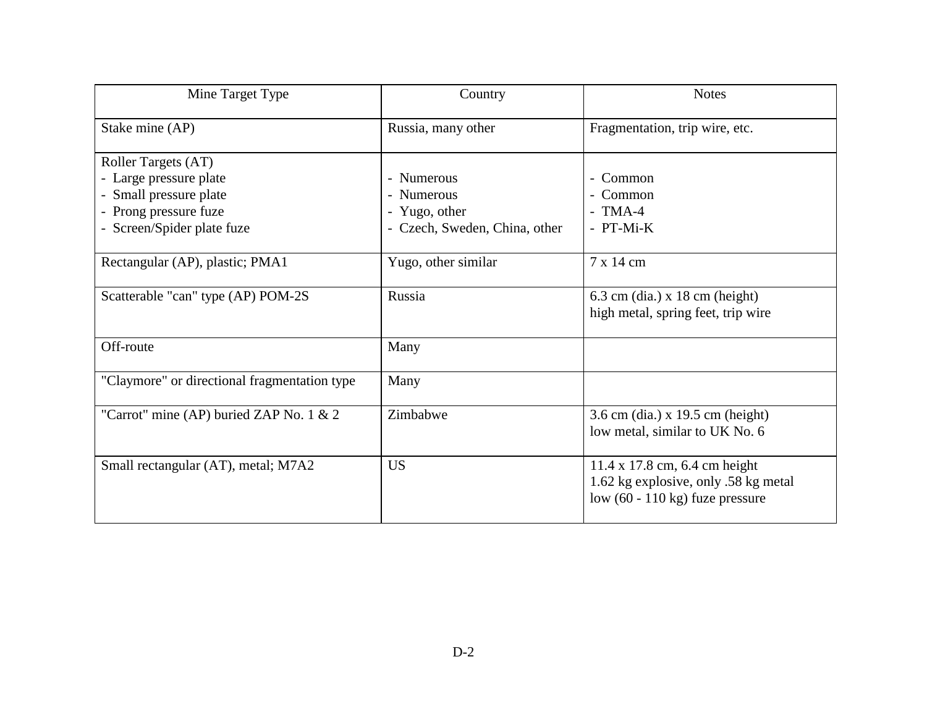| Mine Target Type                             | Country                       | <b>Notes</b>                              |
|----------------------------------------------|-------------------------------|-------------------------------------------|
| Stake mine (AP)                              | Russia, many other            | Fragmentation, trip wire, etc.            |
| Roller Targets (AT)                          |                               |                                           |
| - Large pressure plate                       | - Numerous                    | - Common                                  |
| - Small pressure plate                       | - Numerous                    | - Common                                  |
| - Prong pressure fuze                        | - Yugo, other                 | $-TMA-4$                                  |
| - Screen/Spider plate fuze                   | - Czech, Sweden, China, other | - PT-Mi-K                                 |
|                                              |                               |                                           |
| Rectangular (AP), plastic; PMA1              | Yugo, other similar           | 7 x 14 cm                                 |
|                                              |                               |                                           |
| Scatterable "can" type (AP) POM-2S           | Russia                        | $6.3$ cm (dia.) x 18 cm (height)          |
|                                              |                               | high metal, spring feet, trip wire        |
| Off-route                                    | Many                          |                                           |
|                                              |                               |                                           |
| "Claymore" or directional fragmentation type | Many                          |                                           |
|                                              |                               |                                           |
| "Carrot" mine (AP) buried ZAP No. 1 & 2      | Zimbabwe                      | 3.6 cm (dia.) x 19.5 cm (height)          |
|                                              |                               | low metal, similar to UK No. 6            |
|                                              |                               |                                           |
| Small rectangular (AT), metal; M7A2          | <b>US</b>                     | $11.4 \times 17.8$ cm, 6.4 cm height      |
|                                              |                               | 1.62 kg explosive, only .58 kg metal      |
|                                              |                               | low $(60 - 110 \text{ kg})$ fuze pressure |
|                                              |                               |                                           |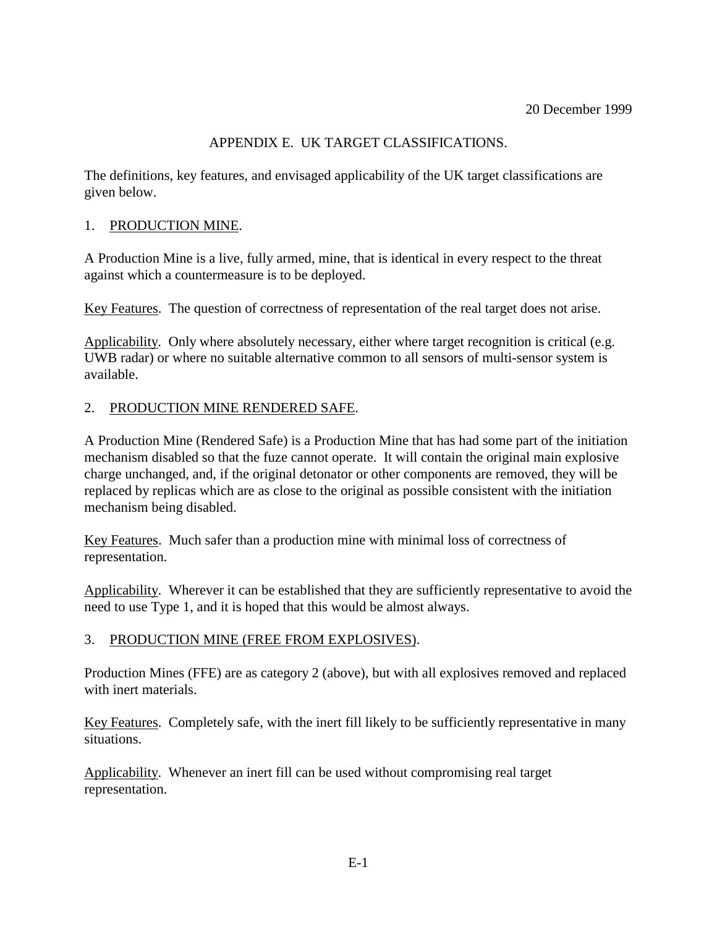## APPENDIX E. UK TARGET CLASSIFICATIONS.

The definitions, key features, and envisaged applicability of the UK target classifications are given below.

### 1. PRODUCTION MINE.

A Production Mine is a live, fully armed, mine, that is identical in every respect to the threat against which a countermeasure is to be deployed.

Key Features. The question of correctness of representation of the real target does not arise.

Applicability. Only where absolutely necessary, either where target recognition is critical (e.g. UWB radar) or where no suitable alternative common to all sensors of multi-sensor system is available.

#### 2. PRODUCTION MINE RENDERED SAFE.

A Production Mine (Rendered Safe) is a Production Mine that has had some part of the initiation mechanism disabled so that the fuze cannot operate. It will contain the original main explosive charge unchanged, and, if the original detonator or other components are removed, they will be replaced by replicas which are as close to the original as possible consistent with the initiation mechanism being disabled.

Key Features. Much safer than a production mine with minimal loss of correctness of representation.

Applicability. Wherever it can be established that they are sufficiently representative to avoid the need to use Type 1, and it is hoped that this would be almost always.

## 3. PRODUCTION MINE (FREE FROM EXPLOSIVES).

Production Mines (FFE) are as category 2 (above), but with all explosives removed and replaced with inert materials.

Key Features. Completely safe, with the inert fill likely to be sufficiently representative in many situations.

Applicability. Whenever an inert fill can be used without compromising real target representation.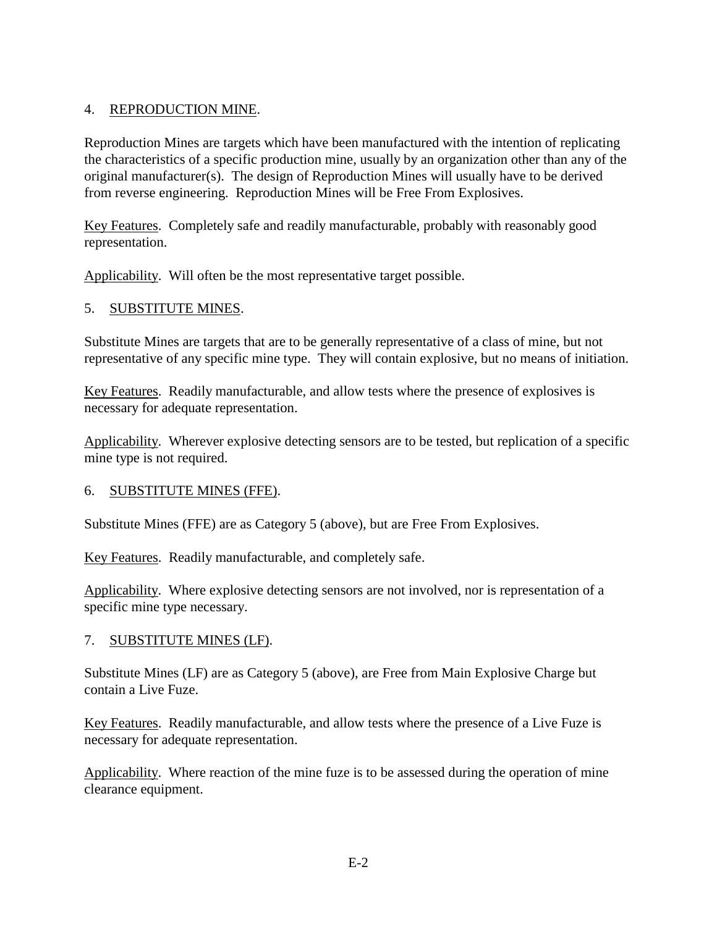## 4. REPRODUCTION MINE.

Reproduction Mines are targets which have been manufactured with the intention of replicating the characteristics of a specific production mine, usually by an organization other than any of the original manufacturer(s). The design of Reproduction Mines will usually have to be derived from reverse engineering. Reproduction Mines will be Free From Explosives.

Key Features. Completely safe and readily manufacturable, probably with reasonably good representation.

Applicability. Will often be the most representative target possible.

## 5. SUBSTITUTE MINES.

Substitute Mines are targets that are to be generally representative of a class of mine, but not representative of any specific mine type. They will contain explosive, but no means of initiation.

Key Features. Readily manufacturable, and allow tests where the presence of explosives is necessary for adequate representation.

Applicability. Wherever explosive detecting sensors are to be tested, but replication of a specific mine type is not required.

#### 6. SUBSTITUTE MINES (FFE).

Substitute Mines (FFE) are as Category 5 (above), but are Free From Explosives.

Key Features. Readily manufacturable, and completely safe.

Applicability. Where explosive detecting sensors are not involved, nor is representation of a specific mine type necessary.

#### 7. SUBSTITUTE MINES (LF).

Substitute Mines (LF) are as Category 5 (above), are Free from Main Explosive Charge but contain a Live Fuze.

Key Features. Readily manufacturable, and allow tests where the presence of a Live Fuze is necessary for adequate representation.

Applicability. Where reaction of the mine fuze is to be assessed during the operation of mine clearance equipment.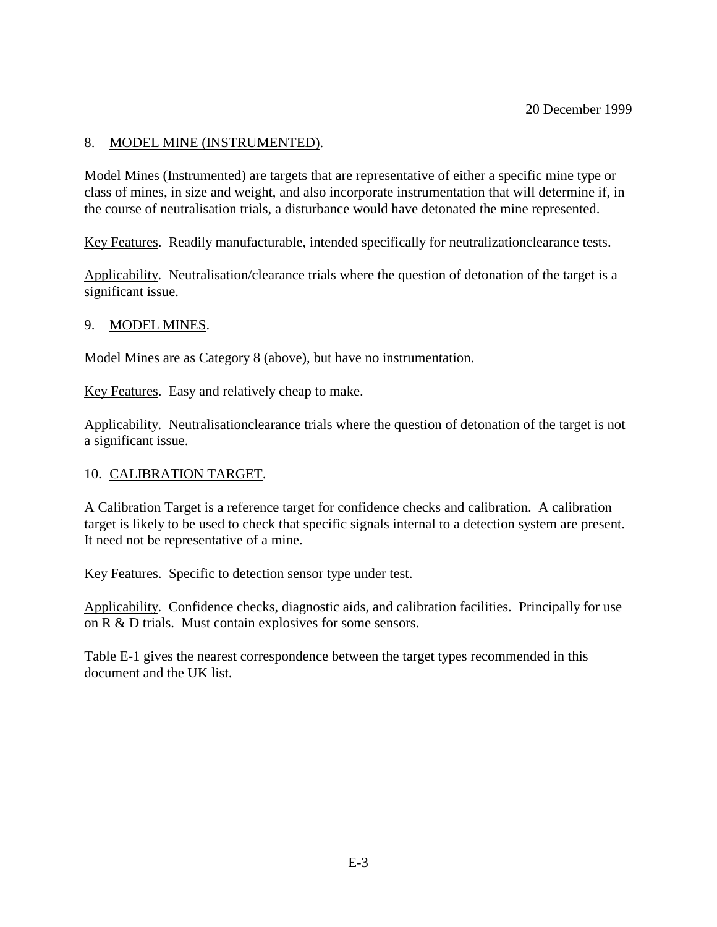### 8. MODEL MINE (INSTRUMENTED).

Model Mines (Instrumented) are targets that are representative of either a specific mine type or class of mines, in size and weight, and also incorporate instrumentation that will determine if, in the course of neutralisation trials, a disturbance would have detonated the mine represented.

Key Features. Readily manufacturable, intended specifically for neutralizationclearance tests.

Applicability. Neutralisation/clearance trials where the question of detonation of the target is a significant issue.

#### 9. MODEL MINES.

Model Mines are as Category 8 (above), but have no instrumentation.

Key Features. Easy and relatively cheap to make.

Applicability. Neutralisationclearance trials where the question of detonation of the target is not a significant issue.

#### 10. CALIBRATION TARGET.

A Calibration Target is a reference target for confidence checks and calibration. A calibration target is likely to be used to check that specific signals internal to a detection system are present. It need not be representative of a mine.

Key Features. Specific to detection sensor type under test.

Applicability. Confidence checks, diagnostic aids, and calibration facilities. Principally for use on R & D trials. Must contain explosives for some sensors.

Table E-1 gives the nearest correspondence between the target types recommended in this document and the UK list.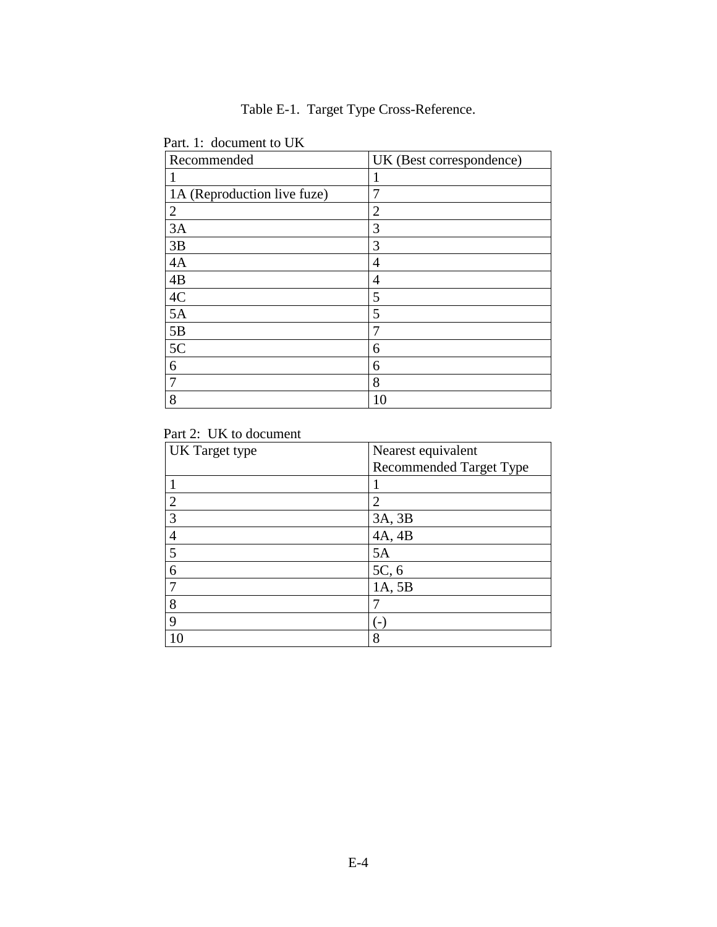Table E-1. Target Type Cross-Reference.

| Recommended                 | UK (Best correspondence) |
|-----------------------------|--------------------------|
|                             |                          |
| 1A (Reproduction live fuze) | 7                        |
| $\overline{2}$              | $\overline{2}$           |
| 3A                          | 3                        |
| 3B                          | 3                        |
| 4A                          | 4                        |
| 4B                          | 4                        |
| 4C                          | 5                        |
| 5A                          | 5                        |
| 5B                          | 7                        |
| 5C                          | 6                        |
| 6                           | 6                        |
| 7                           | 8                        |
| 8                           | 10                       |

Part. 1: document to UK

## Part 2: UK to document

| <b>UK</b> Target type | Nearest equivalent             |  |  |
|-----------------------|--------------------------------|--|--|
|                       | <b>Recommended Target Type</b> |  |  |
|                       |                                |  |  |
| $\overline{2}$        | $\overline{2}$                 |  |  |
| 3                     | 3A, 3B                         |  |  |
|                       | 4A, 4B                         |  |  |
| 5                     | 5A                             |  |  |
| 6                     | 5C, 6                          |  |  |
|                       | 1A, 5B                         |  |  |
| 8                     |                                |  |  |
| 9                     |                                |  |  |
|                       | 8                              |  |  |